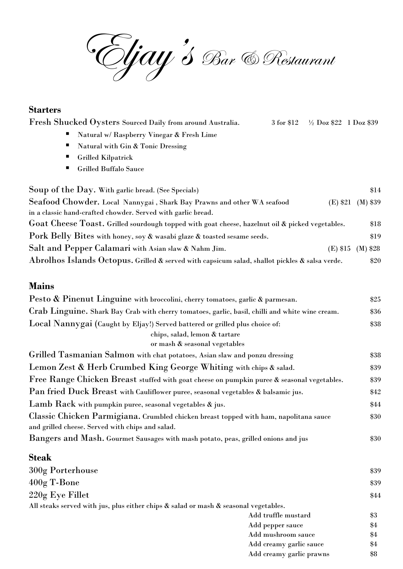Eljay's Bar & Restaurant

### **Starters**

| Fresh Shucked Ovsters Sourced Daily from around Australia. |  | 3 for \$12 $\frac{1}{2}$ Doz \$22 1 Doz \$39 |  |
|------------------------------------------------------------|--|----------------------------------------------|--|
|------------------------------------------------------------|--|----------------------------------------------|--|

- Natural w/ Raspberry Vinegar & Fresh Lime
- Natural with  $G$ in & Tonic Dressing
- Grilled Kilpatrick
- Grilled Buffalo Sauce

| Soup of the Day. With garlic bread. (See Specials)                                              |          | $\$14$     |
|-------------------------------------------------------------------------------------------------|----------|------------|
| Seafood Chowder. Local Nannygai, Shark Bay Prawns and other WA seafood                          | (E) \$21 | $(M)$ \$39 |
| in a classic hand-crafted chowder. Served with garlic bread.                                    |          |            |
| Goat Cheese Toast. Grilled sourdough topped with goat cheese, hazelnut oil & picked vegetables. |          | \$18       |
| Pork Belly Bites with honey, soy & wasabi glaze & toasted sesame seeds.                         |          | \$19       |
| Salt and Pepper Calamari with Asian slaw & Nahm Jim.                                            | (E) \$15 | $(M)$ \$28 |
| Abrolhos Islands Octopus. Grilled & served with capsicum salad, shallot pickles & salsa verde.  |          | \$20       |

#### **Mains**

| Pesto & Pinenut Linguine with broccolini, cherry tomatoes, garlic & parmesan.                   | \$25 |
|-------------------------------------------------------------------------------------------------|------|
| Crab Linguine. Shark Bay Crab with cherry tomatoes, garlic, basil, chilli and white wine cream. | \$36 |
| Local Nannygai (Caught by Eljay!) Served battered or grilled plus choice of:                    | \$38 |
| chips, salad, lemon & tartare                                                                   |      |
| or mash & seasonal vegetables                                                                   |      |
| Grilled Tasmanian Salmon with chat potatoes, Asian slaw and ponzu dressing                      | \$38 |
| Lemon Zest & Herb Crumbed King George Whiting with chips & salad.                               | \$39 |
| Free Range Chicken Breast stuffed with goat cheese on pumpkin puree & seasonal vegetables.      | \$39 |
| Pan fried Duck Breast with Cauliflower puree, seasonal vegetables & balsamic jus.               | \$42 |
| Lamb Rack with pumpkin puree, seasonal vegetables & jus.                                        | \$44 |
| Classic Chicken Parmigiana. Crumbled chicken breast topped with ham, napolitana sauce           | \$30 |
| and grilled cheese. Served with chips and salad.                                                |      |
| Bangers and Mash. Gourmet Sausages with mash potato, peas, grilled onions and jus               | \$30 |

### **Steak**

| 300g Porterhouse                                                                           |                          | \$39  |
|--------------------------------------------------------------------------------------------|--------------------------|-------|
| $400g$ T-Bone                                                                              |                          | \$39  |
| 220g Eye Fillet                                                                            |                          | \$44  |
| All steaks served with jus, plus either chips $\&$ salad or mash $\&$ seasonal vegetables. |                          |       |
|                                                                                            | Add truffle mustard      | $\$3$ |
|                                                                                            | Add pepper sauce         | \$4   |
|                                                                                            | Add mushroom sauce       | \$4   |
|                                                                                            | Add creamy garlic sauce  | \$4   |
|                                                                                            | Add creamy garlic prawns | \$8   |